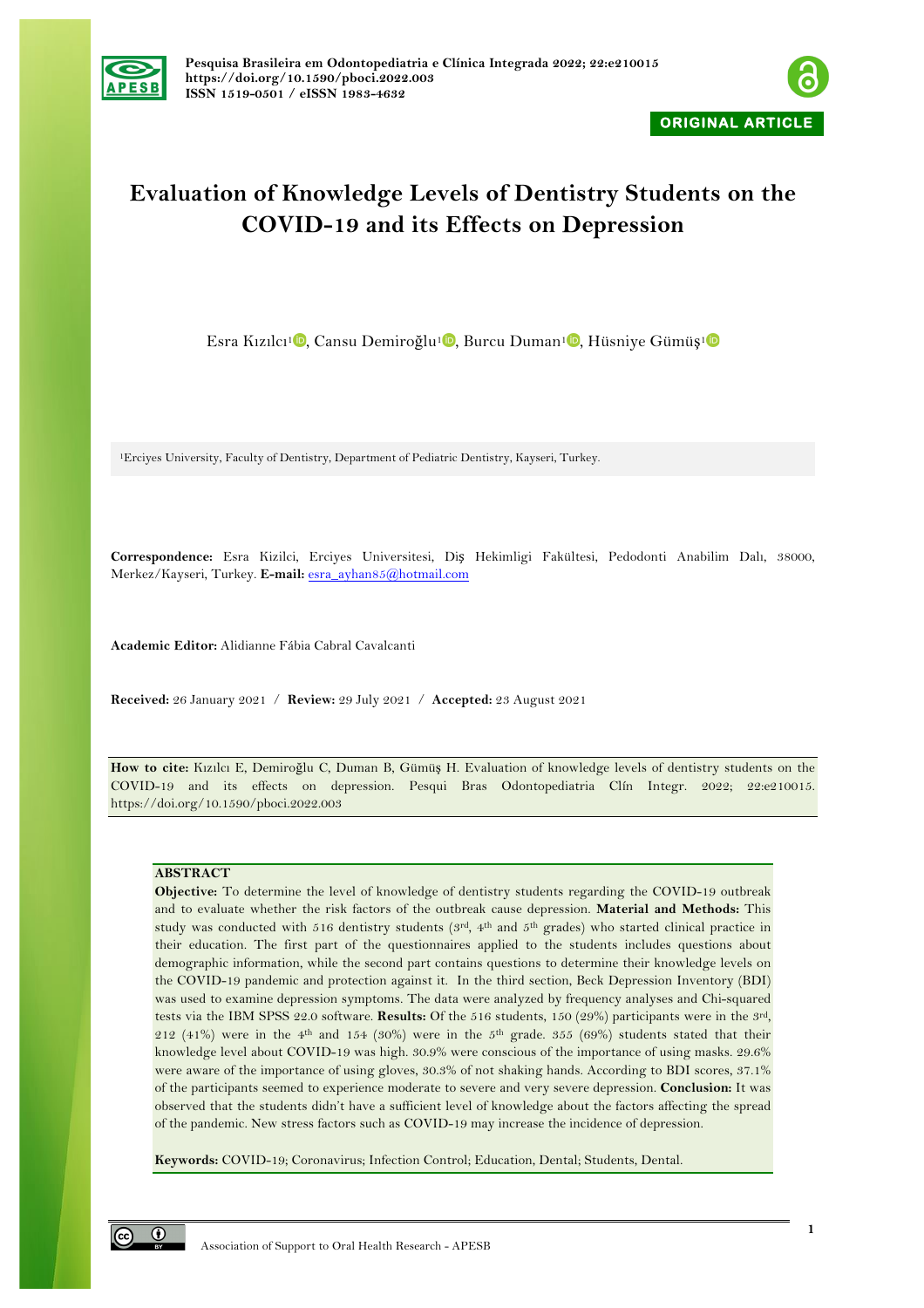



# **Evaluation of Knowledge Levels of Dentistry Students on the COVID-19 and its Effects on Depression**

Esra Kızılcı<sup>1</sup><sup>D</sup>, Cansu Demiroğlu<sup>1</sup><sup>D</sup>, Burcu Duman<sup>1</sup><sup>D</sup>, Hüsniye Gümüş<sup>1</sup><sup>D</sup>

1Erciyes University, Faculty of Dentistry, Department of Pediatric Dentistry, Kayseri, Turkey.

**Correspondence:** Esra Kizilci, Erciyes Universitesi, Diş Hekimligi Fakültesi, Pedodonti Anabilim Dalı, 38000, Merkez/Kayseri, Turkey. **E-mail:** esra\_ayhan85@hotmail.com

**Academic Editor:** Alidianne Fábia Cabral Cavalcanti

**Received:** 26 January 2021 / **Review:** 29 July 2021 / **Accepted:** 23 August 2021

**How to cite:** Kızılcı E, Demiroğlu C, Duman B, Gümüş H. Evaluation of knowledge levels of dentistry students on the COVID-19 and its effects on depression. Pesqui Bras Odontopediatria Clín Integr. 2022; 22:e210015. https://doi.org/10.1590/pboci.2022.003

# **ABSTRACT**

**Objective:** To determine the level of knowledge of dentistry students regarding the COVID-19 outbreak and to evaluate whether the risk factors of the outbreak cause depression. **Material and Methods:** This study was conducted with 516 dentistry students (3rd, 4th and 5th grades) who started clinical practice in their education. The first part of the questionnaires applied to the students includes questions about demographic information, while the second part contains questions to determine their knowledge levels on the COVID-19 pandemic and protection against it. In the third section, Beck Depression Inventory (BDI) was used to examine depression symptoms. The data were analyzed by frequency analyses and Chi-squared tests via the IBM SPSS 22.0 software. **Results:** Of the 516 students, 150 (29%) participants were in the 3rd, 212 (41%) were in the 4<sup>th</sup> and 154 (30%) were in the 5<sup>th</sup> grade. 355 (69%) students stated that their knowledge level about COVID-19 was high. 30.9% were conscious of the importance of using masks. 29.6% were aware of the importance of using gloves, 30.3% of not shaking hands. According to BDI scores, 37.1% of the participants seemed to experience moderate to severe and very severe depression. **Conclusion:** It was observed that the students didn't have a sufficient level of knowledge about the factors affecting the spread of the pandemic. New stress factors such as COVID-19 may increase the incidence of depression.

**Keywords:** COVID-19; Coronavirus; Infection Control; Education, Dental; Students, Dental.

 $\odot$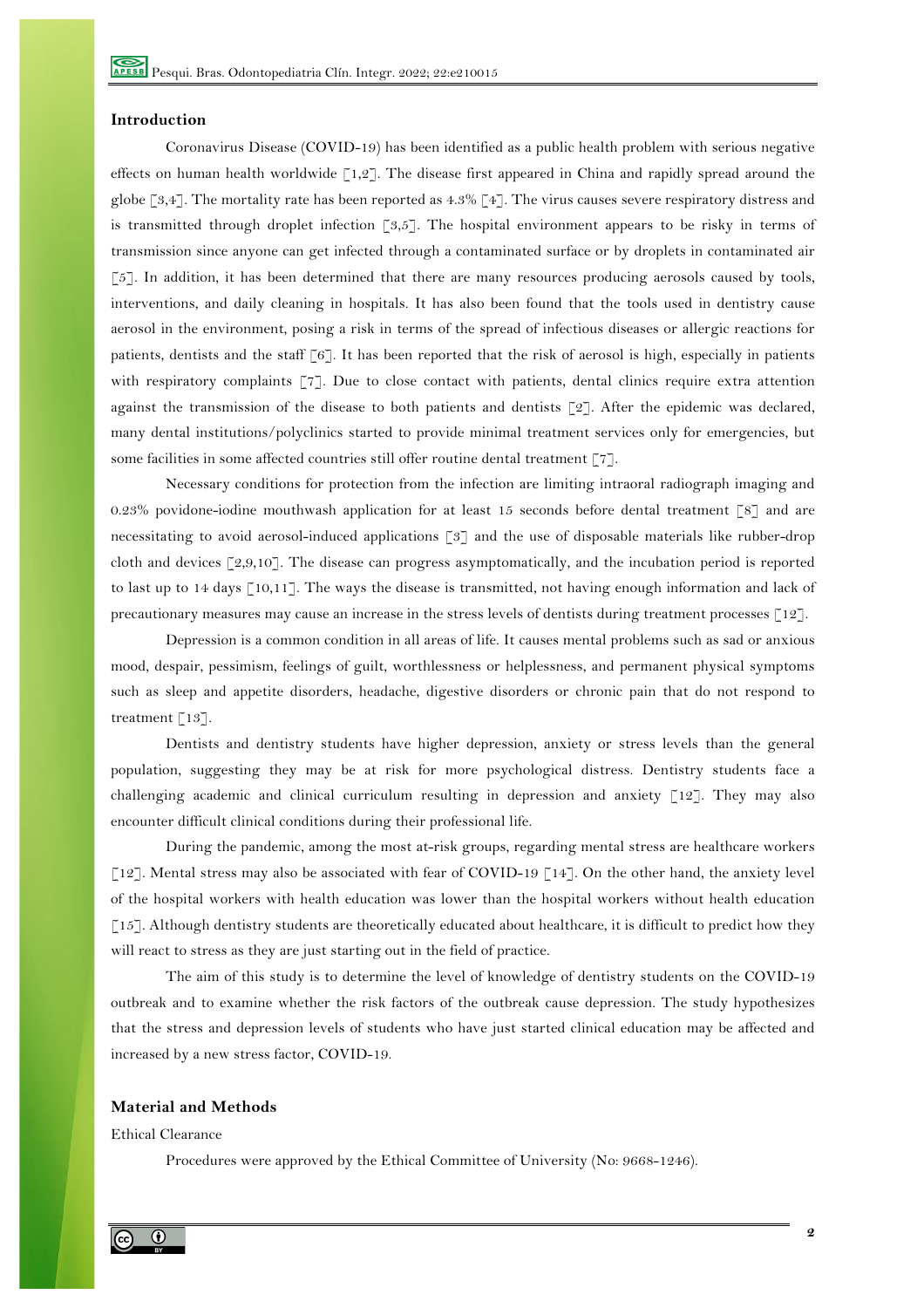## **Introduction**

Coronavirus Disease (COVID-19) has been identified as a public health problem with serious negative effects on human health worldwide [1,2]. The disease first appeared in China and rapidly spread around the globe [3,4]. The mortality rate has been reported as 4.3% [4]. The virus causes severe respiratory distress and is transmitted through droplet infection [3,5]. The hospital environment appears to be risky in terms of transmission since anyone can get infected through a contaminated surface or by droplets in contaminated air [5]. In addition, it has been determined that there are many resources producing aerosols caused by tools, interventions, and daily cleaning in hospitals. It has also been found that the tools used in dentistry cause aerosol in the environment, posing a risk in terms of the spread of infectious diseases or allergic reactions for patients, dentists and the staff [6]. It has been reported that the risk of aerosol is high, especially in patients with respiratory complaints [7]. Due to close contact with patients, dental clinics require extra attention against the transmission of the disease to both patients and dentists [2]. After the epidemic was declared, many dental institutions/polyclinics started to provide minimal treatment services only for emergencies, but some facilities in some affected countries still offer routine dental treatment [77].

Necessary conditions for protection from the infection are limiting intraoral radiograph imaging and 0.23% povidone-iodine mouthwash application for at least 15 seconds before dental treatment [8] and are necessitating to avoid aerosol-induced applications [3] and the use of disposable materials like rubber-drop cloth and devices [2,9,10]. The disease can progress asymptomatically, and the incubation period is reported to last up to 14 days [10,11]. The ways the disease is transmitted, not having enough information and lack of precautionary measures may cause an increase in the stress levels of dentists during treatment processes [12].

Depression is a common condition in all areas of life. It causes mental problems such as sad or anxious mood, despair, pessimism, feelings of guilt, worthlessness or helplessness, and permanent physical symptoms such as sleep and appetite disorders, headache, digestive disorders or chronic pain that do not respond to treatment [13].

Dentists and dentistry students have higher depression, anxiety or stress levels than the general population, suggesting they may be at risk for more psychological distress. Dentistry students face a challenging academic and clinical curriculum resulting in depression and anxiety [12]. They may also encounter difficult clinical conditions during their professional life.

During the pandemic, among the most at-risk groups, regarding mental stress are healthcare workers [12]. Mental stress may also be associated with fear of COVID-19 [14]. On the other hand, the anxiety level of the hospital workers with health education was lower than the hospital workers without health education [15]. Although dentistry students are theoretically educated about healthcare, it is difficult to predict how they will react to stress as they are just starting out in the field of practice.

The aim of this study is to determine the level of knowledge of dentistry students on the COVID-19 outbreak and to examine whether the risk factors of the outbreak cause depression. The study hypothesizes that the stress and depression levels of students who have just started clinical education may be affected and increased by a new stress factor, COVID-19.

#### **Material and Methods**

Ethical Clearance

Procedures were approved by the Ethical Committee of University (No: 9668-1246).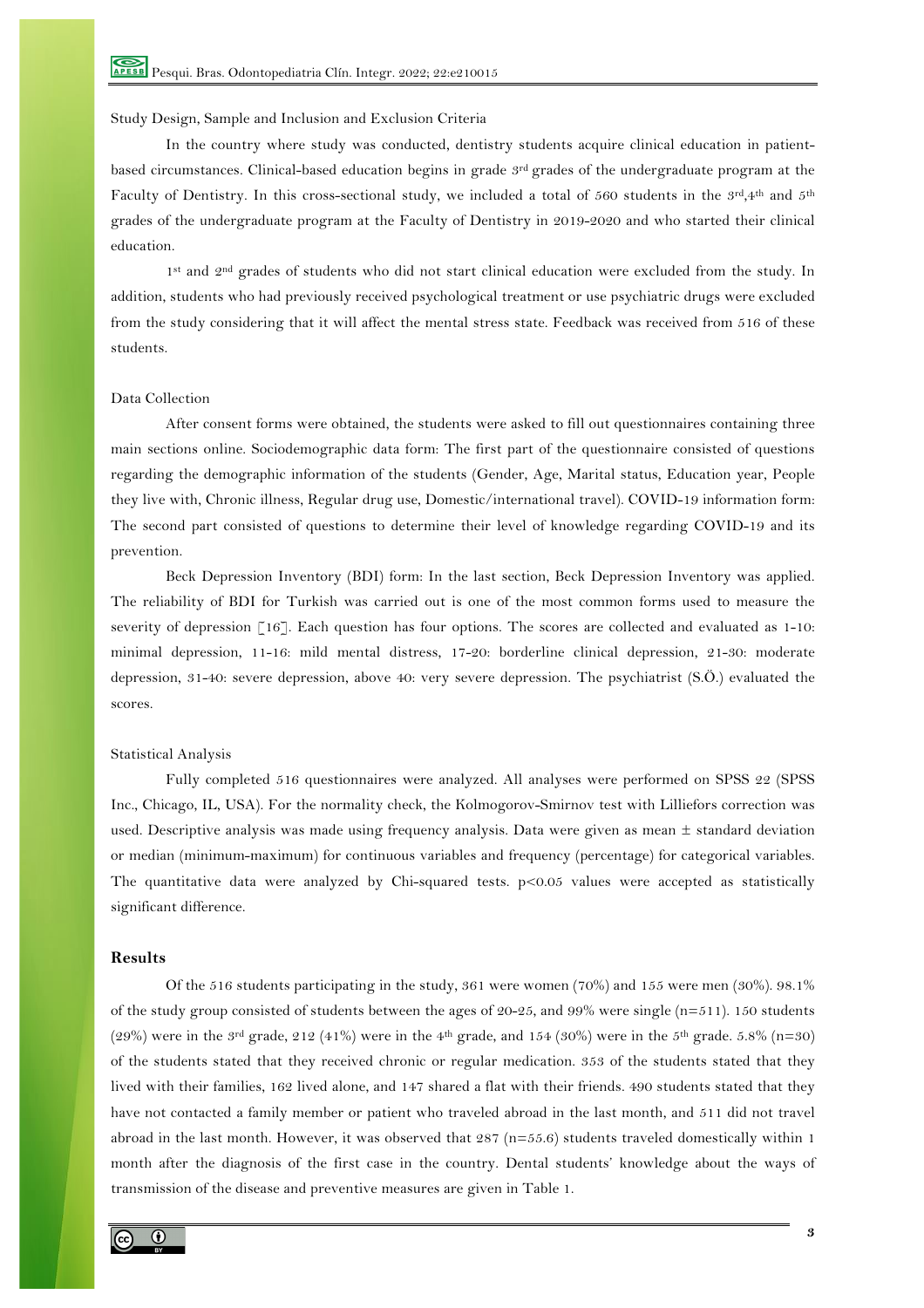## Study Design, Sample and Inclusion and Exclusion Criteria

In the country where study was conducted, dentistry students acquire clinical education in patientbased circumstances. Clinical-based education begins in grade 3rd grades of the undergraduate program at the Faculty of Dentistry. In this cross-sectional study, we included a total of 560 students in the  $3rd,4th$  and  $5th$ grades of the undergraduate program at the Faculty of Dentistry in 2019-2020 and who started their clinical education.

1st and 2nd grades of students who did not start clinical education were excluded from the study. In addition, students who had previously received psychological treatment or use psychiatric drugs were excluded from the study considering that it will affect the mental stress state. Feedback was received from 516 of these students.

## Data Collection

After consent forms were obtained, the students were asked to fill out questionnaires containing three main sections online. Sociodemographic data form: The first part of the questionnaire consisted of questions regarding the demographic information of the students (Gender, Age, Marital status, Education year, People they live with, Chronic illness, Regular drug use, Domestic/international travel). COVID-19 information form: The second part consisted of questions to determine their level of knowledge regarding COVID-19 and its prevention.

Beck Depression Inventory (BDI) form: In the last section, Beck Depression Inventory was applied. The reliability of BDI for Turkish was carried out is one of the most common forms used to measure the severity of depression [16]. Each question has four options. The scores are collected and evaluated as 1-10: minimal depression, 11-16: mild mental distress, 17-20: borderline clinical depression, 21-30: moderate depression, 31-40: severe depression, above 40: very severe depression. The psychiatrist (S.Ö.) evaluated the scores.

#### Statistical Analysis

Fully completed 516 questionnaires were analyzed. All analyses were performed on SPSS 22 (SPSS Inc., Chicago, IL, USA). For the normality check, the Kolmogorov-Smirnov test with Lilliefors correction was used. Descriptive analysis was made using frequency analysis. Data were given as mean  $\pm$  standard deviation or median (minimum-maximum) for continuous variables and frequency (percentage) for categorical variables. The quantitative data were analyzed by Chi-squared tests. p<0.05 values were accepted as statistically significant difference.

## **Results**

Of the 516 students participating in the study, 361 were women (70%) and 155 were men (30%). 98.1% of the study group consisted of students between the ages of  $20-25$ , and  $99\%$  were single (n=511). 150 students (29%) were in the 3<sup>rd</sup> grade, 212 (41%) were in the 4<sup>th</sup> grade, and 154 (30%) were in the 5<sup>th</sup> grade. 5.8% (n=30) of the students stated that they received chronic or regular medication. 353 of the students stated that they lived with their families, 162 lived alone, and 147 shared a flat with their friends. 490 students stated that they have not contacted a family member or patient who traveled abroad in the last month, and 511 did not travel abroad in the last month. However, it was observed that  $287$  ( $n=55.6$ ) students traveled domestically within 1 month after the diagnosis of the first case in the country. Dental students' knowledge about the ways of transmission of the disease and preventive measures are given in Table 1.

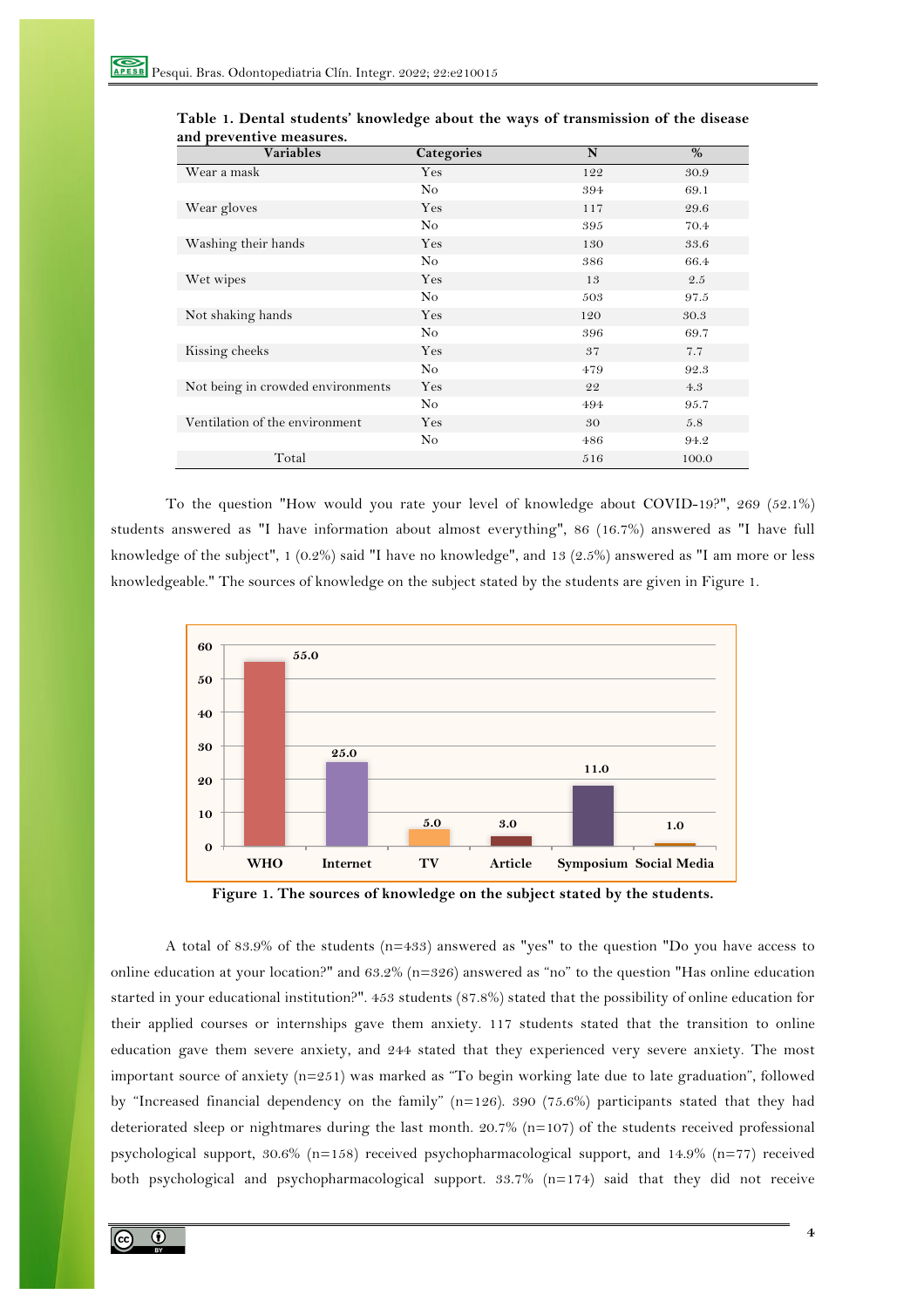| <b>Variables</b>                  | Categories | N   | $\%$  |
|-----------------------------------|------------|-----|-------|
| Wear a mask                       | Yes        | 122 | 30.9  |
|                                   | No         | 394 | 69.1  |
| Wear gloves                       | Yes        | 117 | 29.6  |
|                                   | No         | 395 | 70.4  |
| Washing their hands               | Yes        | 130 | 33.6  |
|                                   | No         | 386 | 66.4  |
| Wet wipes                         | Yes        | 13  | 2.5   |
|                                   | No         | 503 | 97.5  |
| Not shaking hands                 | Yes        | 120 | 30.3  |
|                                   | No         | 396 | 69.7  |
| Kissing cheeks                    | Yes        | 37  | 7.7   |
|                                   | No         | 479 | 92.3  |
| Not being in crowded environments | Yes        | 22  | 4.3   |
|                                   | No         | 494 | 95.7  |
| Ventilation of the environment    | Yes        | 30  | 5.8   |
|                                   | No         | 486 | 94.2  |
| Total                             |            | 516 | 100.0 |

| Table 1. Dental students' knowledge about the ways of transmission of the disease |  |  |
|-----------------------------------------------------------------------------------|--|--|
| and preventive measures.                                                          |  |  |

To the question "How would you rate your level of knowledge about COVID-19?", 269 (52.1%) students answered as "I have information about almost everything", 86 (16.7%) answered as "I have full knowledge of the subject", 1 (0.2%) said "I have no knowledge", and 13 (2.5%) answered as "I am more or less knowledgeable." The sources of knowledge on the subject stated by the students are given in Figure 1.





A total of 83.9% of the students (n=433) answered as "yes" to the question "Do you have access to online education at your location?" and 63.2% (n=326) answered as "no" to the question "Has online education started in your educational institution?". 453 students (87.8%) stated that the possibility of online education for their applied courses or internships gave them anxiety. 117 students stated that the transition to online education gave them severe anxiety, and 244 stated that they experienced very severe anxiety. The most important source of anxiety (n=251) was marked as "To begin working late due to late graduation", followed by "Increased financial dependency on the family" (n=126). 390 (75.6%) participants stated that they had deteriorated sleep or nightmares during the last month. 20.7% (n=107) of the students received professional psychological support, 30.6% (n=158) received psychopharmacological support, and 14.9% (n=77) received both psychological and psychopharmacological support. 33.7% (n=174) said that they did not receive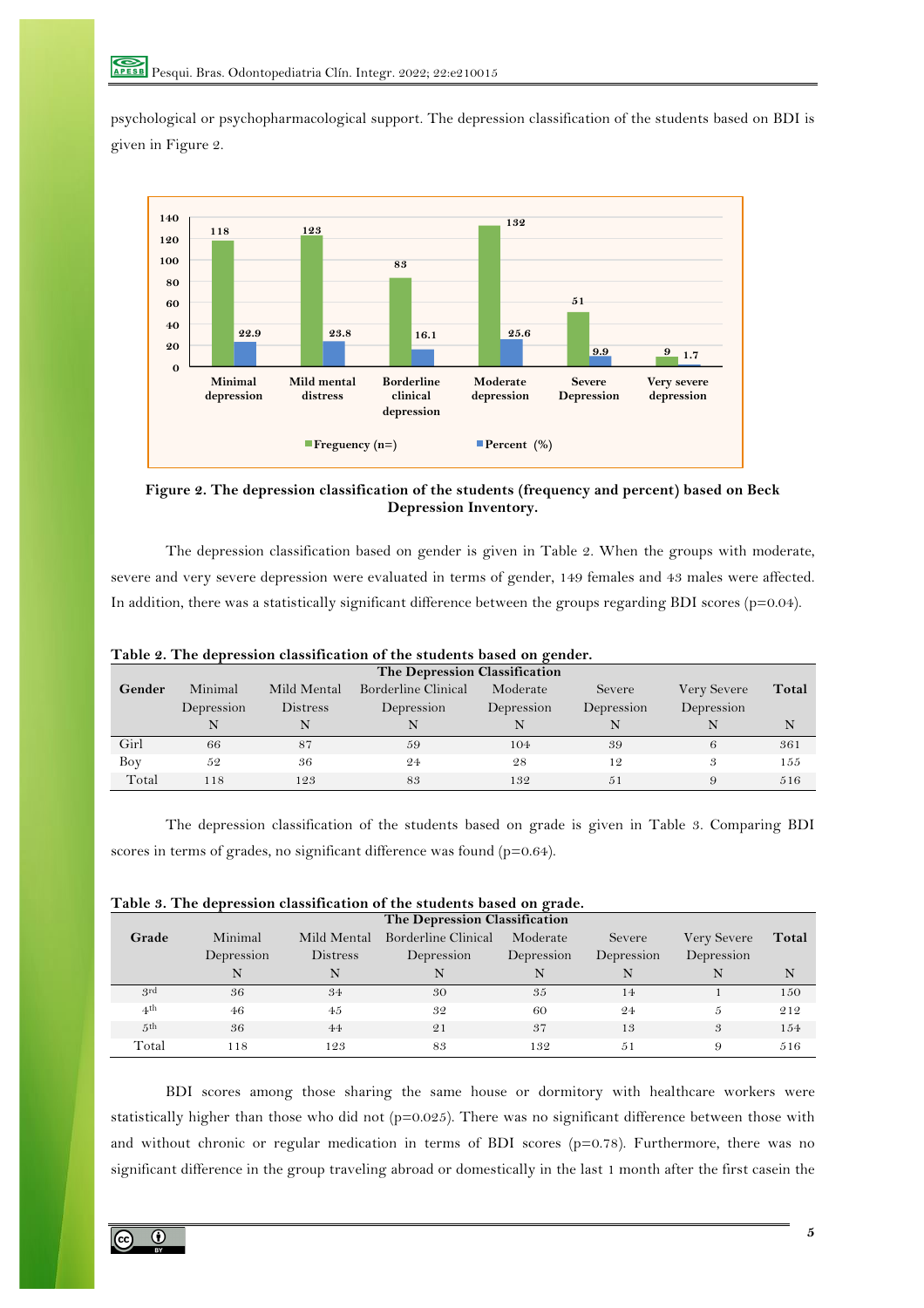psychological or psychopharmacological support. The depression classification of the students based on BDI is given in Figure 2.



**Figure 2. The depression classification of the students (frequency and percent) based on Beck Depression Inventory.**

The depression classification based on gender is given in Table 2. When the groups with moderate, severe and very severe depression were evaluated in terms of gender, 149 females and 43 males were affected. In addition, there was a statistically significant difference between the groups regarding BDI scores (p=0.04).

| The Depression Classification |            |             |                     |            |            |             |       |
|-------------------------------|------------|-------------|---------------------|------------|------------|-------------|-------|
| Gender                        | Minimal    | Mild Mental | Borderline Clinical | Moderate   | Severe     | Very Severe | Total |
|                               | Depression | Distress    | Depression          | Depression | Depression | Depression  |       |
|                               |            |             |                     |            |            |             | N     |
| Girl                          | 66         | 87          | 59                  | 104        | 39         | 6           | 361   |
| Boy                           | 52         | 36          | 24                  | 28         | 12         | 3           | 155   |
| Total                         | 118        | 123         | 83                  | 132        | .51        | 9           | 516   |

**Table 2. The depression classification of the students based on gender.**

The depression classification of the students based on grade is given in Table 3. Comparing BDI scores in terms of grades, no significant difference was found (p=0.64).

| Table 3. The depression classification of the students based on grade. |  |  |  |
|------------------------------------------------------------------------|--|--|--|
|------------------------------------------------------------------------|--|--|--|

| The Depression Classification |            |                 |                     |            |            |             |       |
|-------------------------------|------------|-----------------|---------------------|------------|------------|-------------|-------|
| Grade                         | Minimal    | Mild Mental     | Borderline Clinical | Moderate   | Severe     | Very Severe | Total |
|                               | Depression | <b>Distress</b> | Depression          | Depression | Depression | Depression  |       |
|                               |            |                 |                     |            |            |             |       |
| 3rd                           | 36         | 34              | 30                  | 35         | 14         |             | 150   |
| 4th                           | 46         | 45              | 32                  | 60         | 24         | 5           | 212   |
| 5 <sup>th</sup>               | 36         | 44              | 21                  | 37         | 13         | 3           | 154   |
| Total                         | 118        | 123             | 83                  | 132        | .51        | 9           | 516   |

BDI scores among those sharing the same house or dormitory with healthcare workers were statistically higher than those who did not (p=0.025). There was no significant difference between those with and without chronic or regular medication in terms of BDI scores (p=0.78). Furthermore, there was no significant difference in the group traveling abroad or domestically in the last 1 month after the first casein the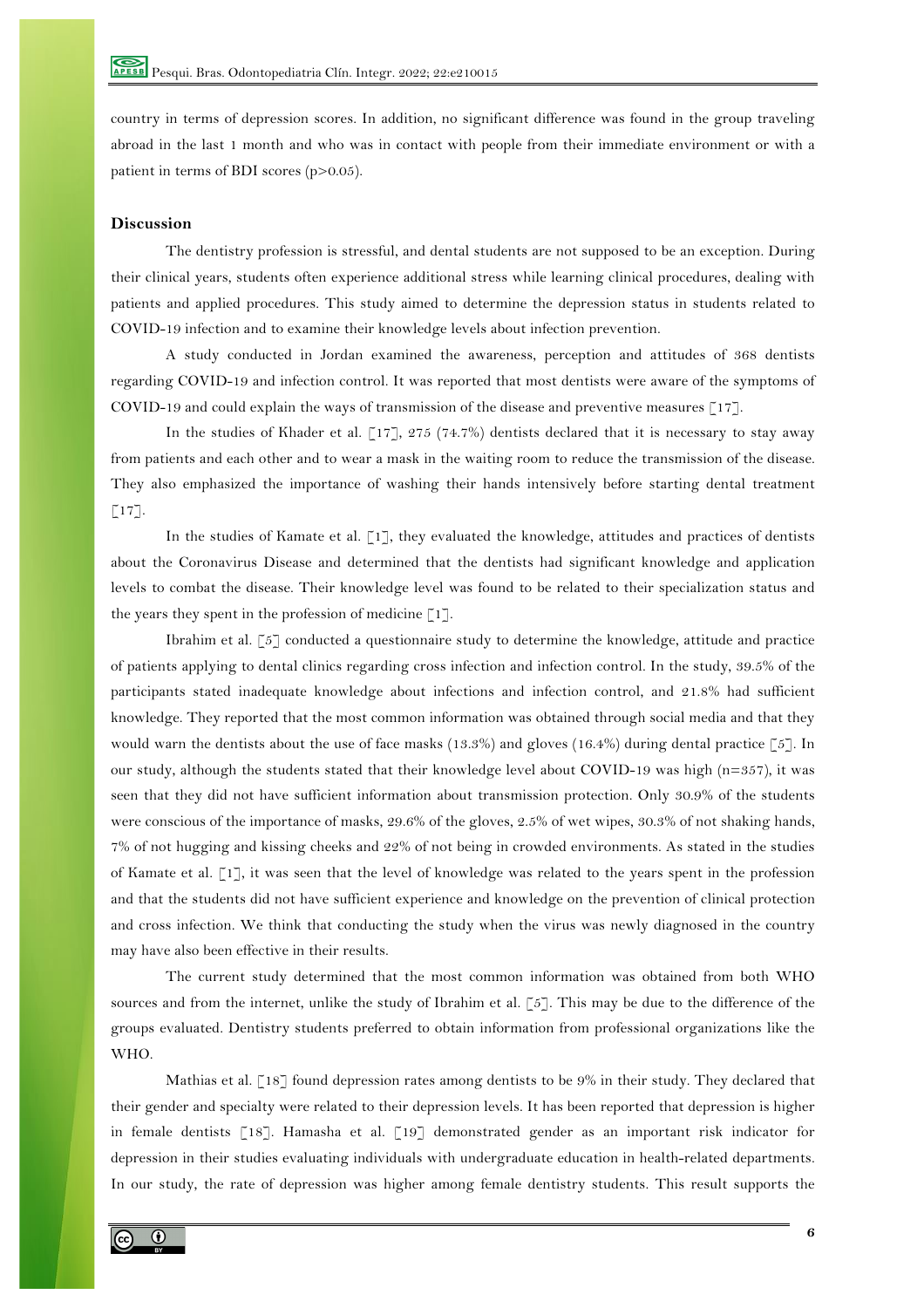country in terms of depression scores. In addition, no significant difference was found in the group traveling abroad in the last 1 month and who was in contact with people from their immediate environment or with a patient in terms of BDI scores (p>0.05).

## **Discussion**

The dentistry profession is stressful, and dental students are not supposed to be an exception. During their clinical years, students often experience additional stress while learning clinical procedures, dealing with patients and applied procedures. This study aimed to determine the depression status in students related to COVID-19 infection and to examine their knowledge levels about infection prevention.

A study conducted in Jordan examined the awareness, perception and attitudes of 368 dentists regarding COVID-19 and infection control. It was reported that most dentists were aware of the symptoms of COVID-19 and could explain the ways of transmission of the disease and preventive measures [17].

In the studies of Khader et al. [17], 275 (74.7%) dentists declared that it is necessary to stay away from patients and each other and to wear a mask in the waiting room to reduce the transmission of the disease. They also emphasized the importance of washing their hands intensively before starting dental treatment  $\lceil 17 \rceil$ .

In the studies of Kamate et al. [1], they evaluated the knowledge, attitudes and practices of dentists about the Coronavirus Disease and determined that the dentists had significant knowledge and application levels to combat the disease. Their knowledge level was found to be related to their specialization status and the years they spent in the profession of medicine  $\lceil 1 \rceil$ .

Ibrahim et al. [5] conducted a questionnaire study to determine the knowledge, attitude and practice of patients applying to dental clinics regarding cross infection and infection control. In the study, 39.5% of the participants stated inadequate knowledge about infections and infection control, and 21.8% had sufficient knowledge. They reported that the most common information was obtained through social media and that they would warn the dentists about the use of face masks (13.3%) and gloves (16.4%) during dental practice [5]. In our study, although the students stated that their knowledge level about COVID-19 was high (n=357), it was seen that they did not have sufficient information about transmission protection. Only 30.9% of the students were conscious of the importance of masks, 29.6% of the gloves, 2.5% of wet wipes, 30.3% of not shaking hands, 7% of not hugging and kissing cheeks and 22% of not being in crowded environments. As stated in the studies of Kamate et al. [1], it was seen that the level of knowledge was related to the years spent in the profession and that the students did not have sufficient experience and knowledge on the prevention of clinical protection and cross infection. We think that conducting the study when the virus was newly diagnosed in the country may have also been effective in their results.

The current study determined that the most common information was obtained from both WHO sources and from the internet, unlike the study of Ibrahim et al. [5]. This may be due to the difference of the groups evaluated. Dentistry students preferred to obtain information from professional organizations like the WHO.

Mathias et al. [18] found depression rates among dentists to be 9% in their study. They declared that their gender and specialty were related to their depression levels. It has been reported that depression is higher in female dentists [18]. Hamasha et al. [19] demonstrated gender as an important risk indicator for depression in their studies evaluating individuals with undergraduate education in health-related departments. In our study, the rate of depression was higher among female dentistry students. This result supports the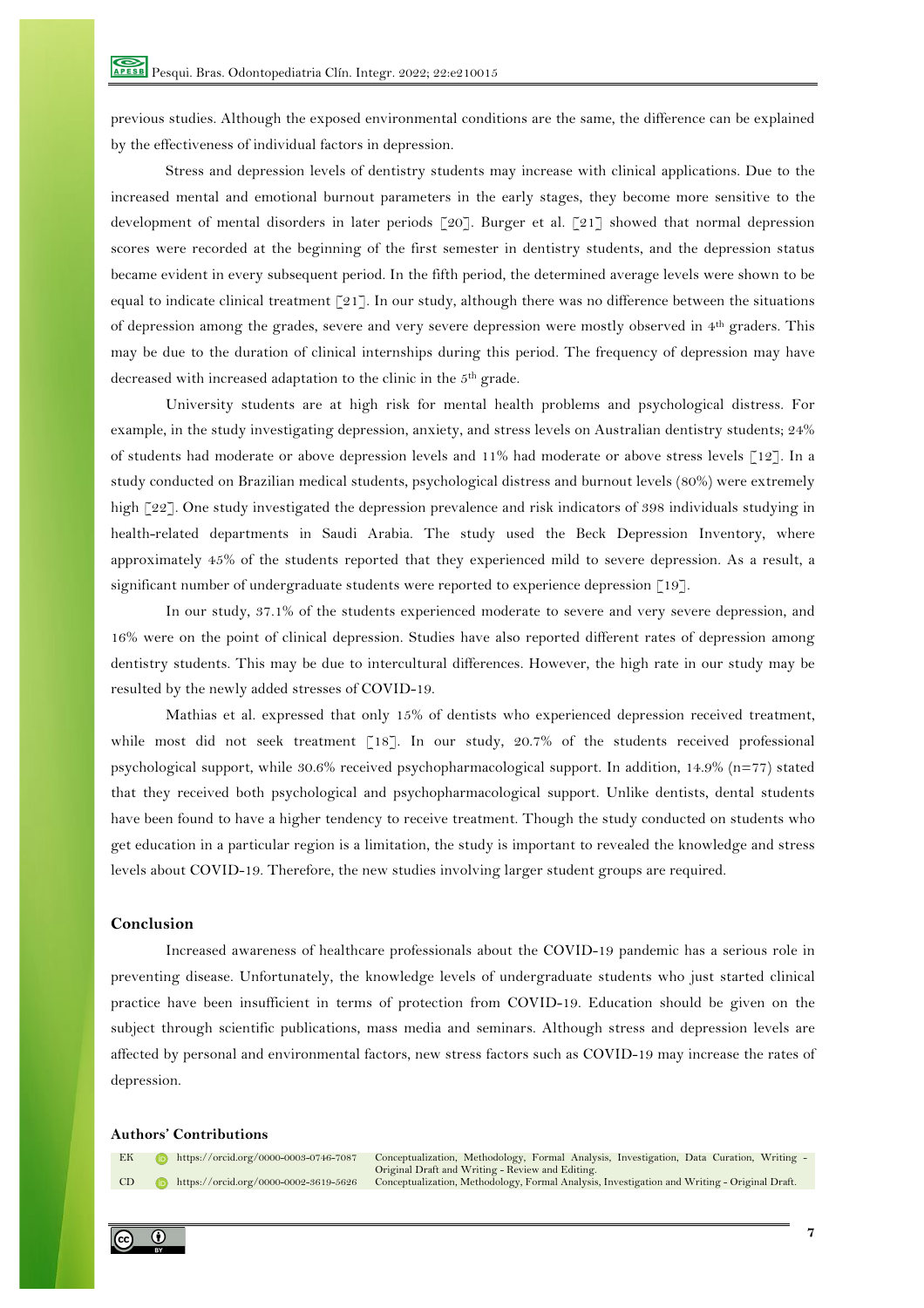previous studies. Although the exposed environmental conditions are the same, the difference can be explained by the effectiveness of individual factors in depression.

Stress and depression levels of dentistry students may increase with clinical applications. Due to the increased mental and emotional burnout parameters in the early stages, they become more sensitive to the development of mental disorders in later periods [20]. Burger et al. [21] showed that normal depression scores were recorded at the beginning of the first semester in dentistry students, and the depression status became evident in every subsequent period. In the fifth period, the determined average levels were shown to be equal to indicate clinical treatment [21]. In our study, although there was no difference between the situations of depression among the grades, severe and very severe depression were mostly observed in 4th graders. This may be due to the duration of clinical internships during this period. The frequency of depression may have decreased with increased adaptation to the clinic in the 5th grade.

University students are at high risk for mental health problems and psychological distress. For example, in the study investigating depression, anxiety, and stress levels on Australian dentistry students; 24% of students had moderate or above depression levels and 11% had moderate or above stress levels [12]. In a study conducted on Brazilian medical students, psychological distress and burnout levels (80%) were extremely high [22]. One study investigated the depression prevalence and risk indicators of 398 individuals studying in health-related departments in Saudi Arabia. The study used the Beck Depression Inventory, where approximately 45% of the students reported that they experienced mild to severe depression. As a result, a significant number of undergraduate students were reported to experience depression [19].

In our study, 37.1% of the students experienced moderate to severe and very severe depression, and 16% were on the point of clinical depression. Studies have also reported different rates of depression among dentistry students. This may be due to intercultural differences. However, the high rate in our study may be resulted by the newly added stresses of COVID-19.

Mathias et al. expressed that only 15% of dentists who experienced depression received treatment, while most did not seek treatment [18]. In our study, 20.7% of the students received professional psychological support, while 30.6% received psychopharmacological support. In addition, 14.9% (n=77) stated that they received both psychological and psychopharmacological support. Unlike dentists, dental students have been found to have a higher tendency to receive treatment. Though the study conducted on students who get education in a particular region is a limitation, the study is important to revealed the knowledge and stress levels about COVID-19. Therefore, the new studies involving larger student groups are required.

## **Conclusion**

Increased awareness of healthcare professionals about the COVID-19 pandemic has a serious role in preventing disease. Unfortunately, the knowledge levels of undergraduate students who just started clinical practice have been insufficient in terms of protection from COVID-19. Education should be given on the subject through scientific publications, mass media and seminars. Although stress and depression levels are affected by personal and environmental factors, new stress factors such as COVID-19 may increase the rates of depression.

#### **Authors' Contributions**

EK Dhttps://orcid.org/0000-0003-0746-7087 Conceptualization, Methodology, Formal Analysis, Investigation, Data Curation, Writing -<br>Original Draft and Writing - Review and Editing.<br>CD Dhttps://orcid.org/0000-0002-3619-5626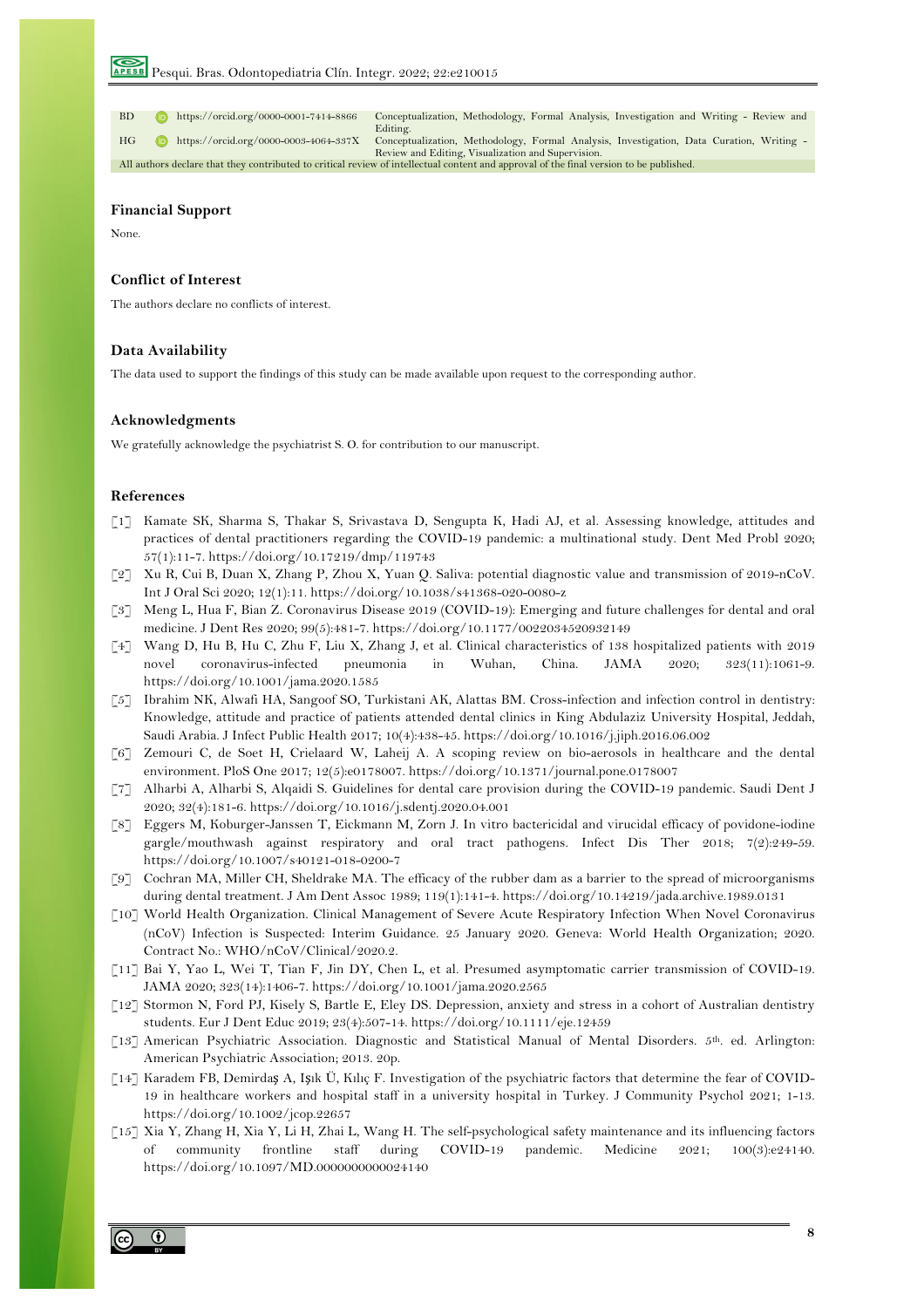BD https://orcid.org/0000-0001-7414-8866 Conceptualization, Methodology, Formal Analysis, Investigation and Writing - Review and **Editing** HG https://orcid.org/0000-0003-4064-337X Conceptualization, Methodology, Formal Analysis, Investigation, Data Curation, Writing - Review and Editing, Visualization and Supervision. All authors declare that they contributed to critical review of intellectual content and approval of the final version to be published.

#### **Financial Support**

None.

## **Conflict of Interest**

The authors declare no conflicts of interest.

## **Data Availability**

The data used to support the findings of this study can be made available upon request to the corresponding author.

#### **Acknowledgments**

We gratefully acknowledge the psychiatrist S. O. for contribution to our manuscript.

#### **References**

- [1] Kamate SK, Sharma S, Thakar S, Srivastava D, Sengupta K, Hadi AJ, et al. Assessing knowledge, attitudes and practices of dental practitioners regarding the COVID-19 pandemic: a multinational study. Dent Med Probl 2020; 57(1):11-7. https://doi.org/10.17219/dmp/119743
- [2] Xu R, Cui B, Duan X, Zhang P, Zhou X, Yuan Q. Saliva: potential diagnostic value and transmission of 2019-nCoV. Int J Oral Sci 2020; 12(1):11. https://doi.org/10.1038/s41368-020-0080-z
- [3] Meng L, Hua F, Bian Z. Coronavirus Disease 2019 (COVID-19): Emerging and future challenges for dental and oral medicine. J Dent Res 2020; 99(5):481-7. https://doi.org/10.1177/0022034520932149
- [4] Wang D, Hu B, Hu C, Zhu F, Liu X, Zhang J, et al. Clinical characteristics of 138 hospitalized patients with 2019 novel coronavirus-infected pneumonia in Wuhan, China. JAMA 2020; 323(11):1061-9. https://doi.org/10.1001/jama.2020.1585
- [5] Ibrahim NK, Alwafi HA, Sangoof SO, Turkistani AK, Alattas BM. Cross-infection and infection control in dentistry: Knowledge, attitude and practice of patients attended dental clinics in King Abdulaziz University Hospital, Jeddah, Saudi Arabia. J Infect Public Health 2017; 10(4):438-45. https://doi.org/10.1016/j.jiph.2016.06.002
- [6] Zemouri C, de Soet H, Crielaard W, Laheij A. A scoping review on bio-aerosols in healthcare and the dental environment. PloS One 2017; 12(5):e0178007. https://doi.org/10.1371/journal.pone.0178007
- [7] Alharbi A, Alharbi S, Alqaidi S. Guidelines for dental care provision during the COVID-19 pandemic. Saudi Dent J 2020; 32(4):181-6. https://doi.org/10.1016/j.sdentj.2020.04.001
- [8] Eggers M, Koburger-Janssen T, Eickmann M, Zorn J. In vitro bactericidal and virucidal efficacy of povidone-iodine gargle/mouthwash against respiratory and oral tract pathogens. Infect Dis Ther 2018; 7(2):249-59. https://doi.org/10.1007/s40121-018-0200-7
- [9] Cochran MA, Miller CH, Sheldrake MA. The efficacy of the rubber dam as a barrier to the spread of microorganisms during dental treatment. J Am Dent Assoc 1989; 119(1):141-4. https://doi.org/10.14219/jada.archive.1989.0131
- [10] World Health Organization. Clinical Management of Severe Acute Respiratory Infection When Novel Coronavirus (nCoV) Infection is Suspected: Interim Guidance. 25 January 2020. Geneva: World Health Organization; 2020. Contract No.: WHO/nCoV/Clinical/2020.2.
- [11] Bai Y, Yao L, Wei T, Tian F, Jin DY, Chen L, et al. Presumed asymptomatic carrier transmission of COVID-19. JAMA 2020; 323(14):1406-7. https://doi.org/10.1001/jama.2020.2565
- [12] Stormon N, Ford PJ, Kisely S, Bartle E, Eley DS. Depression, anxiety and stress in a cohort of Australian dentistry students. Eur J Dent Educ 2019; 23(4):507-14. https://doi.org/10.1111/eje.12459
- [13] American Psychiatric Association. Diagnostic and Statistical Manual of Mental Disorders. 5th. ed. Arlington: American Psychiatric Association; 2013. 20p.
- [14] Karadem FB, Demirdaş A, Işık Ü, Kılıç F. Investigation of the psychiatric factors that determine the fear of COVID-19 in healthcare workers and hospital staff in a university hospital in Turkey. J Community Psychol 2021; 1-13. https://doi.org/10.1002/jcop.22657
- [15] Xia Y, Zhang H, Xia Y, Li H, Zhai L, Wang H. The self-psychological safety maintenance and its influencing factors of community frontline staff during COVID-19 pandemic. Medicine 2021; 100(3):e24140. https://doi.org/10.1097/MD.0000000000024140